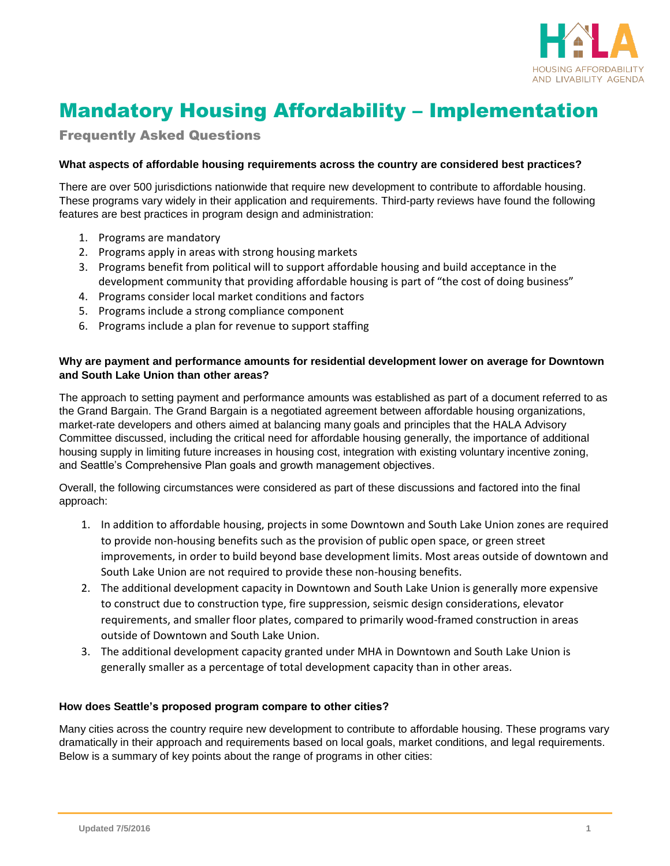

# Mandatory Housing Affordability – Implementation

Frequently Asked Questions

### **What aspects of affordable housing requirements across the country are considered best practices?**

There are over 500 jurisdictions nationwide that require new development to contribute to affordable housing. These programs vary widely in their application and requirements. Third-party reviews have found the following features are best practices in program design and administration:

- 1. Programs are mandatory
- 2. Programs apply in areas with strong housing markets
- 3. Programs benefit from political will to support affordable housing and build acceptance in the development community that providing affordable housing is part of "the cost of doing business"
- 4. Programs consider local market conditions and factors
- 5. Programs include a strong compliance component
- 6. Programs include a plan for revenue to support staffing

#### **Why are payment and performance amounts for residential development lower on average for Downtown and South Lake Union than other areas?**

The approach to setting payment and performance amounts was established as part of a document referred to as the Grand Bargain. The Grand Bargain is a negotiated agreement between affordable housing organizations, market-rate developers and others aimed at balancing many goals and principles that the HALA Advisory Committee discussed, including the critical need for affordable housing generally, the importance of additional housing supply in limiting future increases in housing cost, integration with existing voluntary incentive zoning, and Seattle's Comprehensive Plan goals and growth management objectives.

Overall, the following circumstances were considered as part of these discussions and factored into the final approach:

- 1. In addition to affordable housing, projects in some Downtown and South Lake Union zones are required to provide non-housing benefits such as the provision of public open space, or green street improvements, in order to build beyond base development limits. Most areas outside of downtown and South Lake Union are not required to provide these non-housing benefits.
- 2. The additional development capacity in Downtown and South Lake Union is generally more expensive to construct due to construction type, fire suppression, seismic design considerations, elevator requirements, and smaller floor plates, compared to primarily wood-framed construction in areas outside of Downtown and South Lake Union.
- 3. The additional development capacity granted under MHA in Downtown and South Lake Union is generally smaller as a percentage of total development capacity than in other areas.

#### **How does Seattle's proposed program compare to other cities?**

Many cities across the country require new development to contribute to affordable housing. These programs vary dramatically in their approach and requirements based on local goals, market conditions, and legal requirements. Below is a summary of key points about the range of programs in other cities: